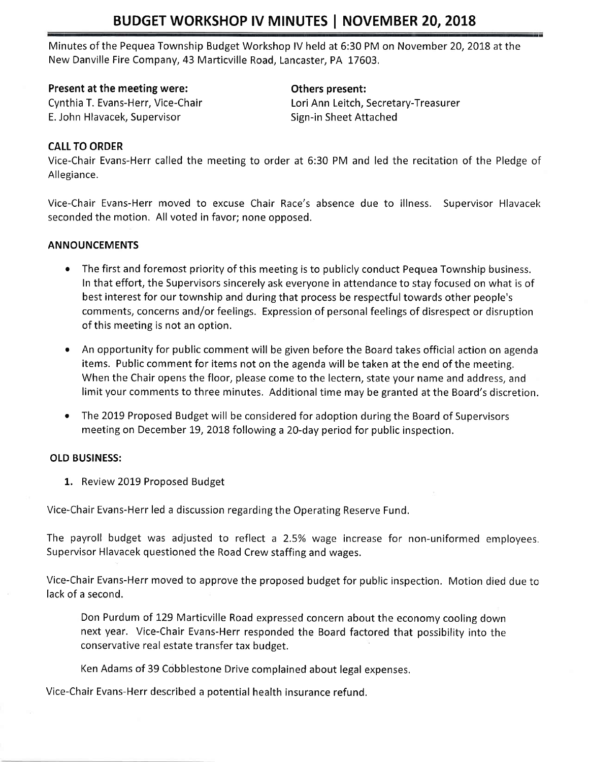# BUDGET WORKSHOP IV MINUTES | NOVEMBER 20, 2018

Minutes of the Pequea Township Budget Workshop lV held at 6:30 PM on November 20, 2018 at the New Danville Fire Company, 43 Marticville Road, Lancaster, PA 17603,

#### Present at the meeting were: The method of Density Communications of Density Present:

E. John Hlavacek, Supervisor Sign-in Sheet Attached

Cynthia T. Evans-Herr, Vice-Chair Lori Ann Leitch, Secretary-Treasurer

### CALL TO ORDER

Vice-Chair Evans-Herr called the meeting to order at 6:30 PM and led the recitation of the Pledge ot Allegiance.

Vice-Chair Evans-Herr moved to excuse Chair Race's absence due to illness. Supervisor Hlavacek seconded the motion. All voted in favor; none opposed.

#### ANNOUNCEMENTS

- The first and foremost priority of this meeting is to publicly conduct Pequea Township business. In that effort, the Supervisors sincerely ask everyone in attendance to stay focused on what is of best interest for our township and during that process be respectful towards other people's comments, concerns and/or feelings. Expression of personal feelings of disrespect or disruption of this meeting is not an option.
- An opportunity for public comment will be given before the Board takes official action on agenda items. Public comment for items not on the agenda will be taken at the end of the meeting. When the Chair opens the floor, please come to the lectern, state your name and address, and limit your comments to three minutes. Additional time may be granted at the Board's discretion.
- The 2019 Proposed Budget will be considered for adoption during the Board of Supervisors meeting on December 19, 2018 following a 20-day period for public inspection.

## OLD BUSINESS:

1. Review 2019 Proposed Budget

Vice-Chair Evans-Herr led a discussion regarding the Operating Reserve Fund,

The payroll budget was adjusted to reflect a 2.5% wage increase for non-uniformed employees. Supervisor Hlavacek questioned the Road Crew staffing and wages.

Vice-Chair Evans-Herr moved to approve the proposed budget for public inspection. Motion died due to lack of a second.

Don Purdum of t29 Marticville Road expressed concern about the economy cooling down next year. Vice-Chair Evans-Herr responded the Board factored that possibility into the conservative real estate transfer tax budget.

Ken Adams of 39 Cobblestone Drive complained about legal expenses.

Vice-Chair Evans-Herr described a potential health insurance refund.